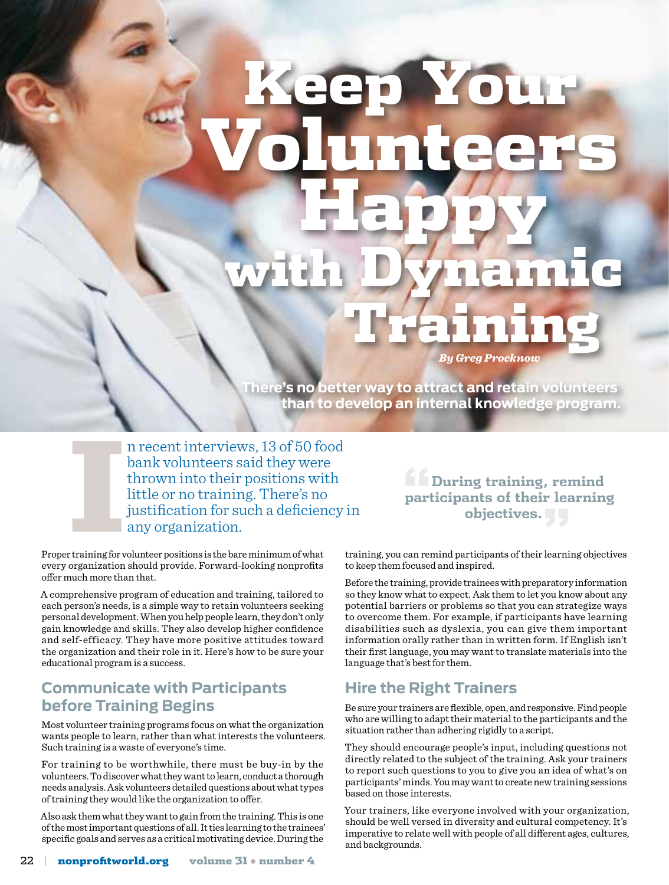# Keep Your Volunteers Happy with Dynamic **Training**

**There's no better way to attract and retain volunteers than to develop an internal knowledge program.**

n recent interviews, 13 of 50 food bank volunteers said they were thrown into their positions with little or no training. There's no justification for such a deficiency in any organization.

Proper training for volunteer positions is the bare minimum of what every organization should provide. Forward-looking nonprofits offer much more than that. International<br>International<br>International

A comprehensive program of education and training, tailored to each person's needs, is a simple way to retain volunteers seeking personal development. When you help people learn, they don't only gain knowledge and skills. They also develop higher confidence and self-efficacy. They have more positive attitudes toward the organization and their role in it. Here's how to be sure your educational program is a success.

#### **Communicate with Participants before Training Begins**

Most volunteer training programs focus on what the organization wants people to learn, rather than what interests the volunteers. Such training is a waste of everyone's time.

For training to be worthwhile, there must be buy-in by the volunteers. To discover what they want to learn, conduct a thorough needs analysis. Ask volunteers detailed questions about what types of training they would like the organization to offer.

Also ask them what they want to gain from the training. This is one of the most important questions of all. It ties learning to the trainees' specific goals and serves as a critical motivating device. During the

**"During training, remind participants of their learning objectives."**

training, you can remind participants of their learning objectives to keep them focused and inspired.

*By Greg Procknow* 

Before the training, provide trainees with preparatory information so they know what to expect. Ask them to let you know about any potential barriers or problems so that you can strategize ways to overcome them. For example, if participants have learning disabilities such as dyslexia, you can give them important information orally rather than in written form. If English isn't their first language, you may want to translate materials into the language that's best for them.

## **Hire the Right Trainers**

Be sure your trainers are flexible, open, and responsive. Find people who are willing to adapt their material to the participants and the situation rather than adhering rigidly to a script.

They should encourage people's input, including questions not directly related to the subject of the training. Ask your trainers to report such questions to you to give you an idea of what's on participants' minds. You may want to create new training sessions based on those interests.

Your trainers, like everyone involved with your organization, should be well versed in diversity and cultural competency. It's imperative to relate well with people of all different ages, cultures, and backgrounds.